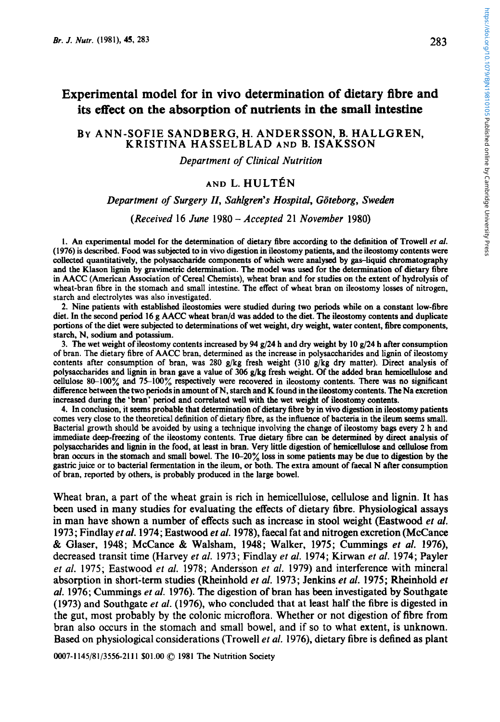# **Experimental model for in vivo determination of dietary fibre and its effect on the absorption of nutrients in the small intestine**

#### BY ANN-SOFIE SANDBERG, H. ANDERSSON, B. HALLGREN, KRISTINA HASSELBLAD *AND* B. ISAKSSON

*Department of Clinical Nutrition* 

## AND L. HULTÉN

#### *Department of Surgery 11, Sahlgren's Hospital, Goteborg, Sweden*

#### *(Received* 16 *June* 1980 *-Accepted* 21 *November* 1980)

**1.** *An* experimental model for the determination of dietary fibre according to the definition of Trowell *et ul.*  **(1976)** is described. **Food** was subjected to in vivo digestion in ileostomy patients, and the ileostomy contents were collected quantitatively, the polysaccharide components of which were analysed by gas-liquid chromatography and the Klason lignin by gravimetric determination. The model was **used** for the determination of dietary fibre in AACC (American Association of Cereal Chemists), wheat bran and for studies on the extent of hydrolysis of wheat-bran fibre in the stomach and small intestine. The effect of wheat bran on ileostomy losses of nitrogen, starch and electrolytes was also investigated.

2. Nine patients with established ileostomies were studied during two periods while on a constant low-fibre diet. In the second period **16** g AACC wheat bran/d was added to the diet. The ileostomy contents and duplicate portions of the diet were subjected to determinations of wet weight, dry weight, water content, fibre components, starch, N, **sodium** and potassium.

3. The wet weight of ileostomy contents increased by **94** g/24 h and dry weight by **10** g/24 h after consumption of bran. The dietary fibre of AACC bran, determined as the increase in polysaccharides and lignin of ileostomy contents after consumption of bran, was **280** g/kg fresh weight **(310** g/kg dry matter). Direct analysis of polysaccharides and lignin in bran gave a value of 306 g/kg fresh weight. Of the added bran hemicellulose and cellulose **8Crl00%** and **75100%** respectively were recovered in ileostomy contents. There was no significant difference between the two periods in amount of N, starch and K found in the ileostomy contents. The Na excretion increased during the 'bran' **period** and correlated well with the wet weight of ileostomy contents.

**4.** In conclusion, it **seems** probable that determination of dietary fibre by in **vivo** digestion in ileostomy patients comes very close to the theoretical definition of dietary fibre, as the influence of bacteria in the ileum **seems** small. Bacterial growth should be avoided by using a technique involving the change of ileostomy bags every **2** h and immediate deep-freezing of the ileostomy contents. True dietary fibre can be determined by direct analysis of polysaccharides and lignin in the food, **at** least in bran. Very little digestion of hemicellulose and **cellulose** from bran **occurs** in the stomach and small bowel. The **1620% loss** in some patients may be due to digestion by the gastric juice or to bacterial fermentation in the ileum, or both. The extra amount of faecal N after consumption of bran, reported by others, is probably produced in the large bowel.

Wheat bran, a part of the wheat grain is rich in hemicellulose, cellulose and lignin. It has been used in many studies for evaluating the effects of dietary fibre. Physiological assays in man have shown a number of effects such as increase in stool weight (Eastwood *et* al. 1973; Findlay *et* al. 1974; Eastwood *et* al. 1978), faecal fat and nitrogen excretion (McCance & Glaser, 1948; McCance & Walsham, 1948; Walker, 1975; Cummings *et al.* 1976), decreased transit time (Harvey *et al.* 1973; Findlay *et* al. 1974; Kinvan *et al.* 1974; Payler *et* al. 1975; Eastwood *et al.* 1978; Andersson *et al.* 1979) and interference with mineral absorption in short-term studies (Rheinhold *et al.* 1973; Jenkins *et al.* 1975; Rheinhold *et*  al. 1976; Cummings *et* al. 1976). The digestion of bran has been investigated by Southgate (1973) and Southgate *et al.* (1976), who concluded that at least half the fibre is digested in the gut, most probably by the colonic microflora. Whether or not digestion of fibre from bran also occurs in the stomach and small bowel, and if so to what extent, is unknown. Based on physiological considerations (Trowel1 *et al.* 1976), dietary fibre is defined as plant

**0007-1 145/81/3556-2111 \$01.00** *0* **1981** The Nutrition Society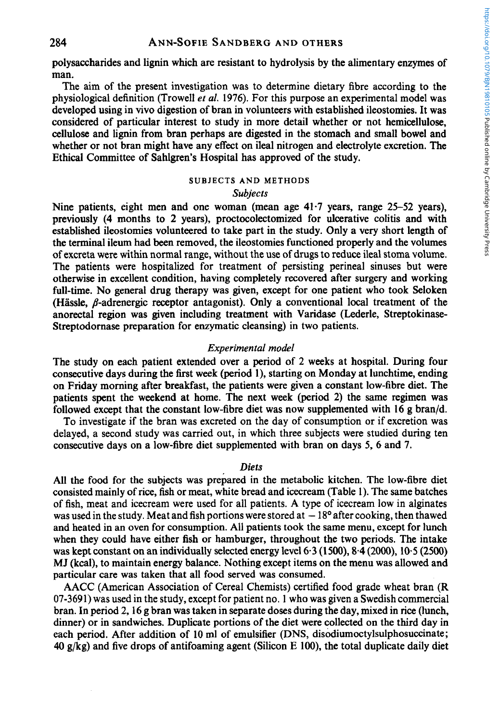polysaccharides and lignin which are resistant to hydrolysis by the alimentary enzymes of man.

The aim of the present investigation was to determine dietary fibre according to the physiological definition (Trowel1 *et al.* **1976).** For this purpose an experimental model was developed using in vivo digestion of bran in volunteers with established ileostomies. It was considered of particular interest to study in more detail whether or not hemicellulose, cellulose and lignin from bran perhaps are digested in the stomach and small bowel and whether or not bran might have any effect on ileal nitrogen and electrolyte excretion. The Ethical Committee of Sahlgren's Hospital has approved of the study.

# **SUBJECTS AND METHODS**

## *Subjects*

Nine patients, eight men and one woman (mean age 41.7 years, range *25-52* years), previously (4 months to **2** years), proctocolectomized for ulcerative colitis and with established ileostomies volunteered to take part in the study. Only a very short length of the terminal ileum had been removed, the ileostomies functioned properly and the volumes of excreta were within normal range, without the use of drugs to reduce ileal stoma volume. The patients were hospitalized for treatment of persisting perineal sinuses but were otherwise in excellent condition, having completely recovered after surgery and working full-time. **No** general drug therapy was given, except for one patient who took Seloken (Hässle,  $\beta$ -adrenergic receptor antagonist). Only a conventional local treatment of the anorectal region was given including treatment with Varidase (Lederle, Streptokinase-Streptodornase preparation for enzymatic cleansing) in two patients.

#### *Experimental model*

The study on each patient extended over a period of **2** weeks at hospital. During four consecutive days during the first week (period l), starting on Monday at lunchtime, ending on Friday morning after breakfast, the patients were given a constant low-fibre diet. The patients spent the weekend at home. The next week (period 2) the same regimen was followed except that the constant low-fibre diet was now supplemented with **16** g bran/d.

To investigate if the bran was excreted on the day of consumption or if excretion was delayed, a second study was carried out, in which three subjects were studied during ten consecutive days on a low-fibre diet supplemented with bran on days *5,* 6 and 7.

#### *Diets*

All the food for the subjects was prepared in the metabolic kitchen. The low-fibre diet consisted mainly of rice, fish or meat, white bread and icecream (Table 1). The same batches of fish, meat and icecream were used for all patients. **A** type of icecream low in alginates was used in the study. Meat and fish portions were stored at  $-18^{\circ}$  after cooking, then thawed and heated in an oven for consumption. All patients took the same menu, except for lunch when they could have either fish or hamburger, throughout the two periods. The intake was kept constant on an individually selected energy level **6.3 (1** *500),* **8.4 (2000), 10.5** *(2500)*  MJ (kcal), to maintain energy balance. Nothing except items on the menu was allowed and particular care was taken that all food served was consumed.

AACC (American Association of Cereal Chemists) certified food grade wheat bran (R **07-3691)** was used in the study, except for patient no. **1** who was given a Swedish commercial bran. In period **2,16** g bran was taken in separate doses during the day, mixed in rice (lunch, dinner) or in sandwiches. Duplicate portions of the diet were collected on the third day in each period. After addition of **10** ml of emulsifier (DNS, **disodiumoctylsulphosuccinate; 40** g/kg) and five drops of antifoaming agent (Silicon E **loo),** the total duplicate daily diet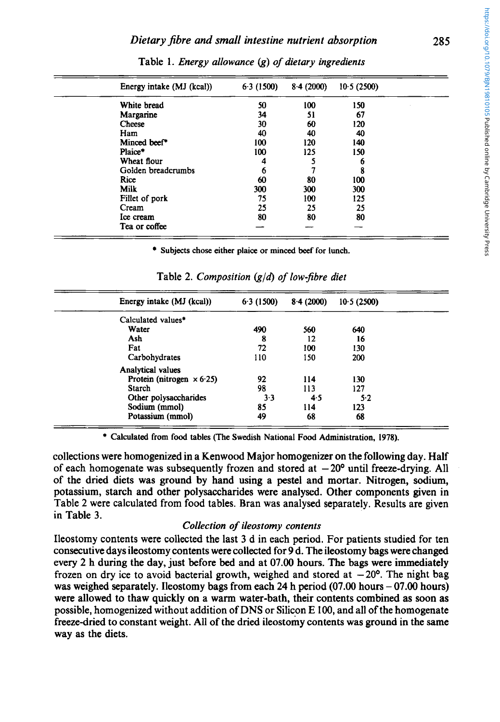| Energy intake (MJ (kcal)) | 6.3(1500) | 8.4(2000) | 10.5(2500) |  |
|---------------------------|-----------|-----------|------------|--|
| White bread               | 50        | 100       | 150        |  |
| Margarine                 | 34        | 51        | 67         |  |
| Cheese                    | 30        | 60        | 120        |  |
| Ham                       | 40        | 40        | 40         |  |
| Minced beef*              | 100       | 120       | 140        |  |
| Plaice*                   | 100       | 125       | 150        |  |
| Wheat flour               | 4         | 5         | 6          |  |
| Golden breadcrumbs        | 6         |           | 8          |  |
| Rice                      | 60        | 80        | 100        |  |
| Milk                      | 300       | 300       | 300        |  |
| Fillet of pork            | 75        | 100       | 125        |  |
| Cream                     | 25        | 25        | 25         |  |
| Ice cream                 | 80        | 80        | 80         |  |
| Tea or coffee             |           |           |            |  |

Table 1. *Energy allowance* (g) *of dietary ingredients* 

**Subjects chose either plaice or minced beef for lunch.** 

| Energy intake (MJ (kcal))        | 6.3(1500) | 8.4(2000) | 10.5(2500) |  |
|----------------------------------|-----------|-----------|------------|--|
| Calculated values <sup>*</sup>   |           |           |            |  |
| Water                            | 490       | 560       | 640        |  |
| Ash                              | 8         | 12        | 16         |  |
| Fat                              | 72        | 100       | 130        |  |
| Carbohydrates                    | 110       | 150       | 200        |  |
| Analytical values                |           |           |            |  |
| Protein (nitrogen $\times$ 6.25) | 92        | 114       | 130        |  |
| Starch                           | 98        | 113       | 127        |  |
| Other polysaccharides            | 3.3       | 4.5       | 5.2        |  |
| Sodium (mmol)                    | 85        | 114       | 123        |  |
| Potassium (mmol)                 | 49        | 68        | 68         |  |

Table 2. *Composition* @Id) *of low-jibre diet* 

\* **Calculated from food tables (The Swedish National Food Administration, 1978).** 

collections were homogenized in a Kenwood Major homogenizer on the following day. Half of each homogenate was subsequently frozen and stored at  $-20<sup>o</sup>$  until freeze-drying. All of the dried diets was ground by hand using a pestel and mortar. Nitrogen, sodium, potassium, starch and other polysaccharides were analysed. Other components given in Table 2 were calculated from food tables. Bran was analysed separately. Results are given in Table 3.

## *Collection of ileostomy contents*

Ileostomy contents were collected the last 3 d in each period. For patients studied for ten consecutive days ileostomy contents were collected for 9 d. The ileostomy bags were changed every 2 h during the day, just before bed and at 07.00 hours. The bags were immediately frozen on dry ice to avoid bacterial growth, weighed and stored at  $-20^{\circ}$ . The night bag was weighed separately. Ileostomy bags from each 24 h period (07.00 hours - 07.00 hours) were allowed to thaw quickly on a warm water-bath, their contents combined as soon as possible, homogenized without addition of DNS or Silicon E 100, and all of the homogenate freeze-dried to constant weight. All of the dried ileostomy contents was ground in the same way as the diets.

**285**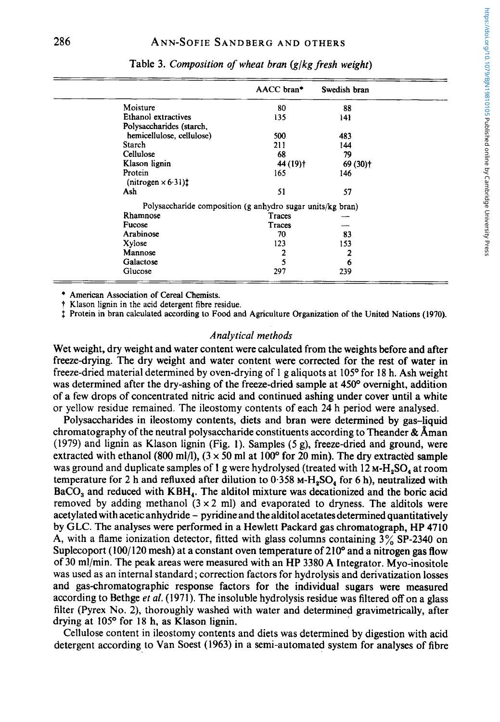|                                                            | AACC bran* | Swedish bran         |
|------------------------------------------------------------|------------|----------------------|
| Moisture                                                   | 80         | 88                   |
| Ethanol extractives                                        | 135        | 141                  |
| Polysaccharides (starch,                                   |            |                      |
| hemicellulose, cellulose)                                  | 500        | 483                  |
| Starch                                                     | 211        | 144                  |
| Cellulose                                                  | 68         | 79                   |
| Klason lignin                                              | 44 (19)†   | 69 (30) <sup>†</sup> |
| Protein<br>(nitrogen $\times$ 6.31) <sup>†</sup>           | 165        | 146                  |
| Ash                                                        | 51         | 57                   |
| Polysaccharide composition (g anhydro sugar units/kg bran) |            |                      |
| Rhamnose                                                   | Traces     |                      |
| Fucose                                                     | Traces     |                      |
| Arabinose                                                  | 70         | 83                   |
| Xylose                                                     | 123        | 153                  |
| Mannose                                                    | 2          | 2                    |
| Galactose                                                  | 5          | 6                    |
| Glucose                                                    | 297        | 239                  |

Table **3.** *Composition of wheat bran (glkg fresh weight)* 

\* **American Association of Cereal Chemists.** 

t **Klason lignin in the acid detergent fibre residue.** 

<sup> $\ddagger$ </sup> Protein in bran calculated according to Food and Agriculture Organization of the United Nations (1970).

#### *Analytical methods*

Wet weight, dry weight and water content were calculated from the weights before and after freeze-drying. The dry weight and water content were corrected for the rest of water in freeze-dried material determined by oven-drying of 1 g aliquots at **105'** for **18** h. Ash weight was determined after the dry-ashing of the freeze-dried sample at **450'** overnight, addition of a few drops of concentrated nitric acid and continued ashing under cover until a white or yellow residue remained. The ileostomy contents of each **24** h period were analysed.

Polysaccharides in ileostomy contents, diets and bran were determined by gas-liquid chromatography of the neutral polysaccharide constituents according to Theander  $\&$  Åman **(1979)** and lignin as Klason lignin (Fig. 1). Samples *(5* g), freeze-dried and ground, were extracted with ethanol (800 ml/l),  $(3 \times 50 \text{ ml at } 100^{\circ} \text{ for } 20 \text{ min})$ . The dry extracted sample was ground and duplicate samples of 1 g were hydrolysed (treated with  $12 M-H<sub>2</sub>SO<sub>4</sub>$  at room temperature for 2 h and refluxed after dilution to 0.358 M-H<sub>2</sub>SO<sub>4</sub> for 6 h), neutralized with  $BaCO<sub>3</sub>$  and reduced with  $KBH<sub>4</sub>$ . The alditol mixture was decationized and the boric acid removed by adding methanol  $(3 \times 2 \text{ ml})$  and evaporated to dryness. The alditols were acetylated with acetic anhydride - pyridine and the alditol acetates determined quantitatively by GLC. The analyses were performed in a Hewlett Packard gas chromatograph, HP **4710**  A, with a flame ionization detector, fitted with glass columns containing **3% SP-2340** on Suplecoport (100/120 mesh) at a constant oven temperature of 210<sup>o</sup> and a nitrogen gas flow of **30** ml/min. The peak areas were measured with an HP **3380** A Integrator. Myo-inositole was used as an internal standard; correction factors for hydrolysis and derivatization losses and gas-chromatographic response factors for the individual sugars were measured according to Bethge *et al.* **(1971).** The insoluble hydrolysis residue was filtered off on a glass filter (Pyrex No. 2), thoroughly washed with water and determined gravimetrically, after drying at 105" for **18** h, as Klason lignin.

Cellulose content in ileostomy contents and diets was determined by digestion with acid detergent according to Van Soest **(1963)** in a semi-automated system for analyses of fibre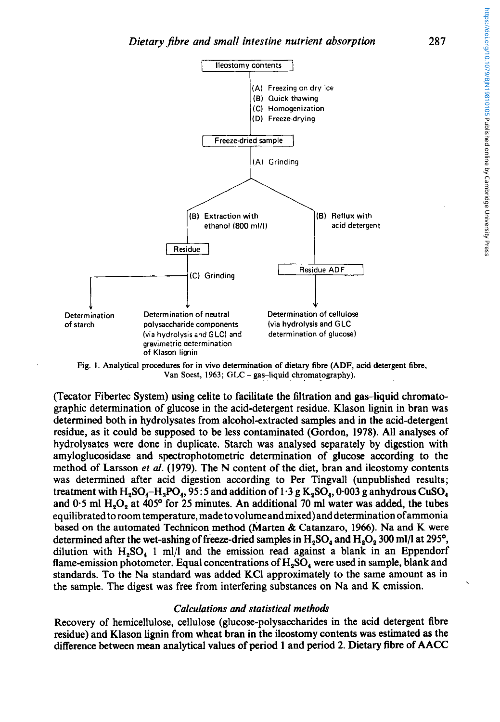

**Fig. 1. Analytical procedures** for **in vivo determination of dietary fibre (ADF, acid detergent fibre, Van Soest, 1963;** GLC - **gas-liquid chromatography).** 

(Tecator Fibertec System) using celite to facilitate the filtration and gas-liquid chromatographic determination of glucose in the acid-detergent residue. Klason lignin in bran was determined both in hydrolysates from alcohol-extracted samples and in the acid-detergent residue, as it could be supposed to be less contaminated (Gordon, 1978). All analyses of hydrolysates were done in duplicate. Starch was analysed separately by digestion with amyloglucosidase and spectrophotometric determination of glucose according to the method of Larsson *et al.* (1979). The N content of the diet, bran and ileostomy contents was determined after acid digestion according to Per Tingvall (unpublished results; treatment with  $H_2SO_4-H_3PO_4$ , 95: 5 and addition of 1.3 g  $K_2SO_4$ , 0.003 g anhydrous CuSO<sub>4</sub> and 0.5 ml **H,O,** at **405'** for 25 minutes. An additional 70 ml water was added, the tubes equilibrated to room temperature, made to volume and mixed) and determination of ammonia based on the automated Technicon method (Marten & Catanzaro, 1966). Na and K were determined after the wet-ashing of freeze-dried samples in  $H_2SO_4$  and  $H_2O_2$  300 ml/l at 295<sup>o</sup>, dilution with **H,S04** 1 ml/l and the emission read against a blank in an Eppendorf flame-emission photometer. Equal concentrations of  $H_2SO_4$  were used in sample, blank and standards. **To** the Na standard was added KCl approximately to the same amount as in the sample. The digest was free from interfering substances on Na and K emission.

## $Calculations and statistical methods$

Recovery of hemicellulose, cellulose (glucose-polysaccharides in the acid detergent fibre residue) and Klason lignin from wheat bran in the ileostomy contents was estimated as the difference between mean analytical values of **period 1** and period **2.** Dietary fibre of **AACC**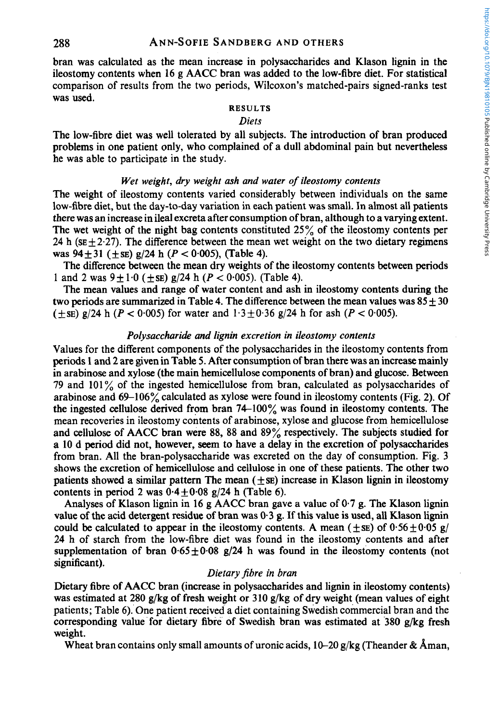bran was calculated as the mean increase in polysaccharides and Klason lignin in the ileostomy contents when 16 g AACC bran was added to the low-fibre diet. For statistical comparison of results from the two periods, Wilcoxon's matched-pairs signed-ranks test was used.

## RESULTS

## *Diets*

The low-fibre diet was well tolerated by all subjects. The introduction of bran produced problems in one patient only, who complained of a dull abdominal pain but nevertheless he was able *to* participate in the study.

#### *Wet weight, dry weight ash and water of ileostomy contents*

The weight of ileostomy contents varied considerably between individuals on the same low-fibre diet, but the day-to-day variation in each patient was small. In almost all patients there was an increase in ileal excreta after consumption of bran, although to a varying extent. The wet weight of the night bag contents constituted  $25\%$  of the ileostomy contents per 24 h (s $E \pm 2.27$ ). The difference between the mean wet weight on the two dietary regimens was  $94 \pm 31$  ( $\pm$ SE) g/24 h ( $P < 0.005$ ), (Table 4).

The difference between the mean dry weights of the ileostomy contents between periods 1 and 2 was  $9 \pm 1.0$  ( $\pm$  SE) g/24 h ( $P < 0.005$ ). (Table 4).

The mean values and range of water content and ash in ileostomy contents during the two periods are summarized in Table 4. The difference between the mean values was  $85 \pm 30$  $(\pm s)$  g/24 h  $(P < 0.005)$  for water and  $1.3 \pm 0.36$  g/24 h for ash  $(P < 0.005)$ .

## *Polysaccharide and lignin excretion in ileostomy contents*

Values for the different components of the polysaccharides in the ileostomy contents from periods **1** and 2 are given in Table *5.* After consumption of bran there was an increase mainly in arabinose and xylose (the main hemicellulose components of bran) and glucose. Between 79 and 101% of the ingested hemicellulose from bran, calculated as polysaccharides of arabinose and 69-106% calculated as xylose were found in ileostomy contents (Fig. 2). Of the ingested cellulose derived from bran  $74-100\%$  was found in ileostomy contents. The mean recoveries in ileostomy contents of arabinose, xylose and glucose from hemicellulose and cellulose of AACC bran were 88, 88 and 89% respectively. The subjects studied for a **10** d period did not, however, seem to have a delay in the excretion of polysaccharides from bran. All the bran-polysaccharide was excreted on the day of consumption. Fig. 3 shows the excretion of hemicellulose and cellulose in one of these patients. The other two patients showed a similar pattern The mean  $(\pm s)$  increase in Klason lignin in ileostomy contents in period 2 was  $0.4 \pm 0.08$  g/24 h (Table 6).

Analyses of Klason lignin in 16 g AACC bran gave a value of  $0.7$  g. The Klason lignin value of the acid detergent residue of bran was **0-3 g.** If this value is used, all Klason lignin could be calculated to appear in the ileostomy contents. A mean ( $\pm$ se) of 0.56  $\pm$ 0.05 g/ 24 h of starch from the low-fibre diet was found in the ileostomy contents and after supplementation of bran  $0.65 \pm 0.08$  g/24 h was found in the ileostomy contents (not significant).

#### *Dietary jibre in bran*

Dietary fibre of AACC bran (increase in polysaccharides and lignin in ileostomy contents) was estimated at 280 g/kg of fresh weight or 310 g/kg of dry weight (mean values of eight patients; Table 6). One patient received a diet containing Swedish commercial bran and the corresponding value for dietary fibre of Swedish bran was estimated at 380 g/kg fresh weight.

Wheat bran contains only small amounts of uronic acids,  $10-20$  g/kg (Theander & Aman,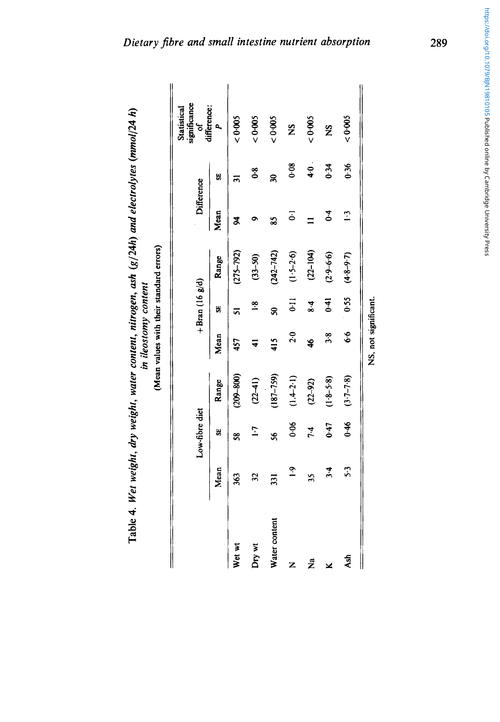| Table 4. Wet weight, dry weight, water content, nitrogen, ash $(g/24h)$ and ele |  |
|---------------------------------------------------------------------------------|--|
|                                                                                 |  |
|                                                                                 |  |
|                                                                                 |  |
|                                                                                 |  |
|                                                                                 |  |
|                                                                                 |  |
|                                                                                 |  |

|                      |              |                |               |                      |                 | (Mean values with their standard errors) |                  |                  |                                   |
|----------------------|--------------|----------------|---------------|----------------------|-----------------|------------------------------------------|------------------|------------------|-----------------------------------|
|                      |              | Low-fibre diet |               |                      | + Bran (16 g/d) |                                          | Difference       |                  | significance<br>of<br>Statistical |
|                      | Mean         | S.             | Range         | Mean                 | U               | Range                                    | Mean             | S,               | difference:<br><b>A</b>           |
| Wet wt               | 363          | S.             | $(209 - 800)$ | 457                  |                 | $(275 - 792)$                            | Z                |                  | 0.005                             |
| Dry wt               | 32           | $\overline{1}$ | $(22-41)$     | 4                    | $\frac{8}{1}$   | $(33 - 50)$                              | ۰                | $\ddot{\bullet}$ | 0.005                             |
| Water content        | 331          | 56             | $(187 - 759)$ | 415                  | ຂ               | $(242 - 742)$                            | SS.              | ຊ                | 0.005                             |
| Z                    | $\ddot{ }$ . | 0.06           | $(1.4 - 2.1)$ | 2.0                  | $0-11$          | $(1.5 - 2.6)$                            | $\bar{\cdot}$    | 0.08             | Z                                 |
| $\tilde{\mathbf{z}}$ | 35           | $7-4$          | $(22 - 92)$   | $\frac{4}{5}$        | $\ddot{a}$      | $(22 - 104)$                             |                  | $4-0$ .          | 0.005                             |
| ×                    | 3.4          | 0.47           | $(1.8 - 5.8)$ | 3.8                  | $6 - 41$        | $(2.9 - 6.6)$                            | $\ddot{\bullet}$ | 0.34             | ž                                 |
| <b>Ash</b>           | 5.3          | 0.46           | $(3.7 - 7.8)$ | 66                   | 0.55            | $(4.8 - 9.7)$                            | $\ddot{ }$       | 0.36             | 0.005                             |
|                      |              |                |               | NS, not significant. |                 |                                          |                  |                  |                                   |

# *Dietary jibre and small intestine nutrient absorption* **289**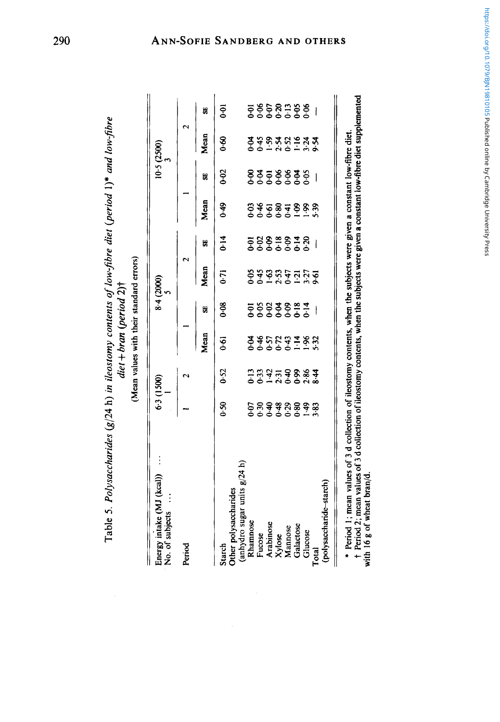|  |  |                                 |                   |                  |                        |                  | Ē                     |
|--|--|---------------------------------|-------------------|------------------|------------------------|------------------|-----------------------|
|  |  | $(g/24 \text{ h})$ in ileostomy | $diet + bra$ (per | -10 7.<br>on man | ay contents of low-fir | the diet (perio. | $iod$ 1)* and low-fil |

| Energy intake (MJ (kcal))<br>No. of subjects |                     | 6.3 (1500)              |                     |                          | 8.4 (2000)                   |                          |                                    |                          | 10.5(2500)                                       |                    |
|----------------------------------------------|---------------------|-------------------------|---------------------|--------------------------|------------------------------|--------------------------|------------------------------------|--------------------------|--------------------------------------------------|--------------------|
| Period                                       |                     |                         |                     |                          |                              |                          |                                    |                          |                                                  |                    |
|                                              |                     |                         | Mean                | S,                       | Mean                         | Ĥ,                       | Mean                               | U,                       | Mean                                             | U                  |
| Starch                                       | 6.50                | 0.52                    | <u>ଟେ</u>           | $\frac{8}{6}$            | ξà                           | $\frac{4}{10}$           | 64.0                               | $0 - 02$                 | \$.                                              | ΰ9                 |
| Other polysaccharides                        |                     |                         |                     |                          |                              |                          |                                    |                          |                                                  |                    |
| (anhydro sugar units g/24 h)<br>Rhamnose     |                     |                         |                     |                          |                              |                          |                                    |                          |                                                  |                    |
| Fucose                                       | 58888898<br>5888889 | n 23423884<br>1923 1938 | 38523782<br>3852378 | 5883821                  | <b>98885555</b><br>087875755 | 5887878                  | 8 ¥ 5 8 7 8 8 8<br>8 8 5 8 7 8 8 8 | १३३११३८<br>१००००००       | इङ्क्ष्द्रे अभू दृष्ट्<br>इङ्क्ष्द्रे अभू दृष्ट् | 5858788<br>6866588 |
| Arabinose                                    |                     |                         |                     |                          |                              |                          |                                    |                          |                                                  |                    |
| Xylose                                       |                     |                         |                     |                          |                              |                          |                                    |                          |                                                  |                    |
| Mannose                                      |                     |                         |                     |                          |                              |                          |                                    |                          |                                                  |                    |
| Galactose                                    |                     |                         |                     |                          |                              |                          |                                    |                          |                                                  |                    |
| Glucose                                      |                     |                         |                     |                          |                              |                          |                                    |                          |                                                  |                    |
| Total                                        |                     |                         |                     | $\overline{\phantom{a}}$ |                              | $\overline{\phantom{a}}$ |                                    | $\overline{\phantom{a}}$ |                                                  | $\mathbf{I}$       |
| (polysaccharide-starch)                      |                     |                         |                     |                          |                              |                          |                                    |                          |                                                  |                    |

t Period 2; mean values of 3 d collection of ileostomy contents, when the subjects were given **a** constant low-fibre diet supplemented were given a constant low-fibre diet supplemented  $\uparrow$  Period 2; mean values of 3 d collection of ileostomy contents, when the subjects with 16 g of wheat bran/d. with 16 g of wheat bran/d.

## **I**  e Sa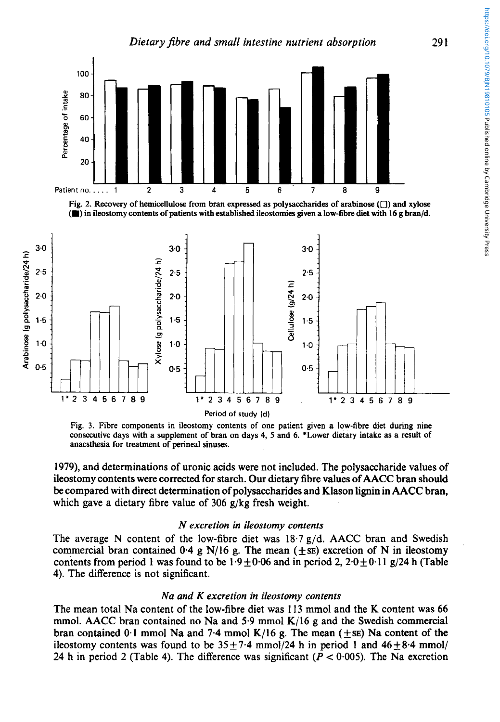





**Fig. 3. Fibre components in ileostomy contents of one patient given a low-fibre diet during nine consecutive days with a supplement of bran on days 4, 5 and 6. +Lower dietary intake as a result of anaesthesia for treatment of perineal sinuses.** 

1979), and determinations of uronic acids were not included. The polysaccharide values of ileostomy contents were corrected for starch. Our dietary fibre values of **AACC** bran should be compared with direct determination of polysaccharides and Klason lignin in **AACC** bran, which gave a dietary fibre value of 306 g/kg fresh weight.

#### *N excretion in ileostomy contents*

The average N content of the low-fibre diet was **18.7 g/d. AACC** bran and Swedish commercial bran contained 0.4 g N/16 g. The mean  $(\pm s)$  excretion of N in ileostomy contents from period 1 was found to be  $1.9 \pm 0.06$  and in period 2,  $2.0 \pm 0.11$  g/24 h (Table 4). The difference is not significant.

## *Na and K excretion in ileostomy contents*

The mean total Na content of the low-fibre diet was 113 mmol and the K content was 66 mmol. **AACC** bran contained no Na and 5.9 mmol K/16 g and the Swedish commercial bran contained  $0.1$  mmol Na and  $7.4$  mmol K/16 g. The mean  $(\pm s)\$ Na content of the ileostomy contents was found to be  $35 + 7.4$  mmol/24 h in period 1 and  $46 + 8.4$  mmol/ 24 h in period 2 (Table 4). The difference was significant  $(P < 0.005)$ . The Na excretion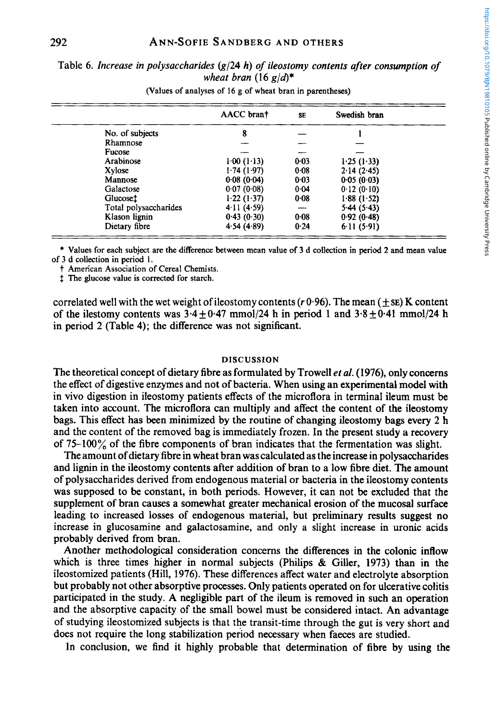#### **292 ANN-SOFIE SANDBERG AND OTHERS**

|                       | AACC brant | <b>SE</b> | Swedish bran |  |
|-----------------------|------------|-----------|--------------|--|
| No. of subjects       | 8          |           |              |  |
| Rhamnose              |            |           |              |  |
| Fucose                |            |           |              |  |
| Arabinose             | 1.00(1.13) | 0.03      | 1.25(1.33)   |  |
| Xylose                | 1.74(1.97) | 0.08      | 2.14(2.45)   |  |
| Mannose               | 0.08(0.04) | 0.03      | 0.05(0.03)   |  |
| Galactose             | 0.07(0.08) | 0.04      | 0.12(0.10)   |  |
| Glucoset              | 1.22(1.37) | 0.08      | 1.88(1.52)   |  |
| Total polysaccharides | 411(4.59)  |           | 5.44(5.43)   |  |
| Vlocan lianin         | 0.42(0.30) | ሲ ሰው      | 0.03 (0.40)  |  |

Table 6. *Increase in polysaccharides* (g/24 *h) of ileostomy contents after consumption of wheat bran* (16 g/d)+

\* **Values for each subject are the difference between mean value** of **3 d collection in period 2 and mean value of 3 d collection in period 1.** 

**Klason lignin 0.43 (0.30) 0.08 0.92 (0.48)** 

t **American Association of Cereal Chemists.** 

**Dietary fibre** 

**3 The glucose value is corrected for starch.** 

correlated well with the wet weight of ileostomy contents (r 0.96). The mean ( **+SE)** K content of the ilestomy contents was  $3.4 \pm 0.47$  mmol/24 h in period 1 and  $3.8 \pm 0.41$  mmol/24 h in period 2 (Table 4); the difference was not significant.

#### **DISCUSSION**

The theoretical concept of dietary fibre as formulated by Trowell *et al. (1976),* only concerns the effect of digestive enzymes and not of bacteria. When using an experimental model with in vivo digestion in ileostomy patients effects of the microflora in terminal ileum must be taken into account. The microflora can multiply and affect the content of the ileostomy bags. This effect has been minimized by the routine of changing ileostomy bags every 2 h and the content of the removed bag is immediately frozen. In the present study a recovery of 75-100% of the fibre components of bran indicates that the fermentation was slight.

The amount of dietary fibre in wheat bran was calculated as the increase in polysaccharides and lignin in the ileostomy contents after addition of bran to a low fibre diet. The amount of polysaccharides derived from endogenous material or bacteria in the ileostomy contents was supposed to be constant, in both periods. However, it can not be excluded that the supplement of bran causes a somewhat greater mechanical erosion of the mucosal surface leading to increased losses of endogenous material, but preliminary results suggest no increase in glucosamine and galactosamine, and only a slight increase in uronic acids probably derived from bran.

Another methodological consideration concerns the differences in the colonic inflow which is three times higher in normal subjects (Philips & Giller, **1973)** than in the ileostomized patients (Hill, 1976). These differences affect water and electrolyte absorption but probably not other absorptive processes. Only patients operated on for ulcerative colitis participated in the study. A negligible part of the ileum is removed in such an operation and the absorptive capacity of the small bowel must be considered intact. An advantage of studying ileostomized subjects is that the transit-time through the gut is very short and does not require the long stabilization period necessary when faeces are studied.

In conclusion, we find it highly probable that determination of fibre by using the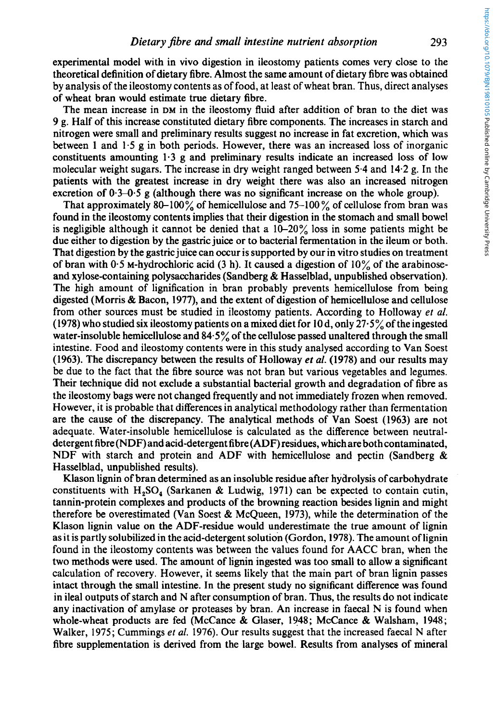experimental model with in vivo digestion in ileostomy patients comes very close to the theoretical definition of dietary fibre. Almost the same amount of dietary fibre was obtained by analysis of the ileostomy contents as of food, at least of wheat bran. Thus, direct analyses of wheat bran would estimate true dietary fibre.

The mean increase in **DM** in the ileostomy fluid after addition of bran to the diet was 9 g. Half of this increase constituted dietary fibre components. The increases in starch and nitrogen were small and preliminary results suggest no increase in fat excretion, which was between 1 and 1.5 g in both periods. However, there was an increased loss of inorganic constituents amounting 1.3 g and preliminary results indicate an increased loss of low molecular weight sugars. The increase in dry weight ranged between 5.4 and 14.2 g. In the patients with the greatest increase in dry weight there was also an increased nitrogen excretion of  $0.3-0.5$  g (although there was no significant increase on the whole group).

That approximately 80-100% of hemicellulose and 75-100% of cellulose from bran was found in the ileostomy contents implies that their digestion in the stomach and small bowel is negligible although it cannot be denied that a  $10-20\%$  loss in some patients might be due either to digestion by the gastric juice or to bacterial fermentation in the ileum or both. That digestion by the gastric juice can occur is supported by our in vitro studies on treatment of bran with **0.5** M-hydrochloric acid (3 h). It caused a digestion of **10%** of the arabinoseand xylose-containing polysaccharides (Sandberg  $\&$  Hasselblad, unpublished observation). The high amount of lignification in bran probably prevents hemicellulose from being digested (Morris & Bacon, 1977), and the extent of digestion of hemicellulose and cellulose from other sources must be studied in ileostomy patients. According to Holloway et al. (1978) who studied six ileostomy patients on a mixed diet for 10 d, only 27.5% of the ingested water-insoluble hemicellulose and  $84.5\%$  of the cellulose passed unaltered through the small intestine. Food and ileostomy contents were in this study analysed according to Van Soest (1963). The discrepancy between the results of Holloway *et* al. (1978) and our results may be due to the fact that the fibre source was not bran but various vegetables and legumes. Their technique did not exclude a substantial bacterial growth and degradation of fibre as the ileostomy bags were not changed frequently and not immediately frozen when removed. However, it is probable that differences in analytical methodology rather than fermentation are the cause of the discrepancy. The analytical methods of Van Soest (1963) are not adequate. Water-insoluble hemicellulose is calculated as the difference between neutraldetergent fibre (NDF) and acid-detergent fibre (ADF) residues, which are both contaminated, NDF with starch and protein and ADF with hemicellulose and pectin (Sandberg & Hasselblad, unpublished results).

Klason lignin of bran determined as an insoluble residue after hydrolysis of carbohydrate constituents with **H,SO,** (Sarkanen & Ludwig, 1971) can be expected to contain cutin, tannin-protein complexes and products of the browning reaction besides lignin and might therefore be overestimated (Van Soest & McQueen, 1973), while the determination of the Klason lignin value on the ADF-residue would underestimate the true amount of lignin as it is partly solubilized in the acid-detergent solution (Gordon, 1978). The amount of lignin found in the ileostomy contents was between the values found for AACC bran, when the two methods were used. The amount of lignin ingested was too small to allow a significant calculation of recovery. However, it seems likely that the main part of bran lignin passes intact through the small intestine. In the present study no significant difference was found in ileal outputs of starch and N after consumption of bran. Thus, the results do not indicate any inactivation of amylase or proteases by bran. An increase in faecal N is found when whole-wheat products are fed (McCance & Glaser, 1948; McCance & Walsham, 1948; Walker, 1975; Cummings *et* al. 1976). Our results suggest that the increased faecal N after fibre supplementation is derived from the large bowel. Results from analyses of mineral